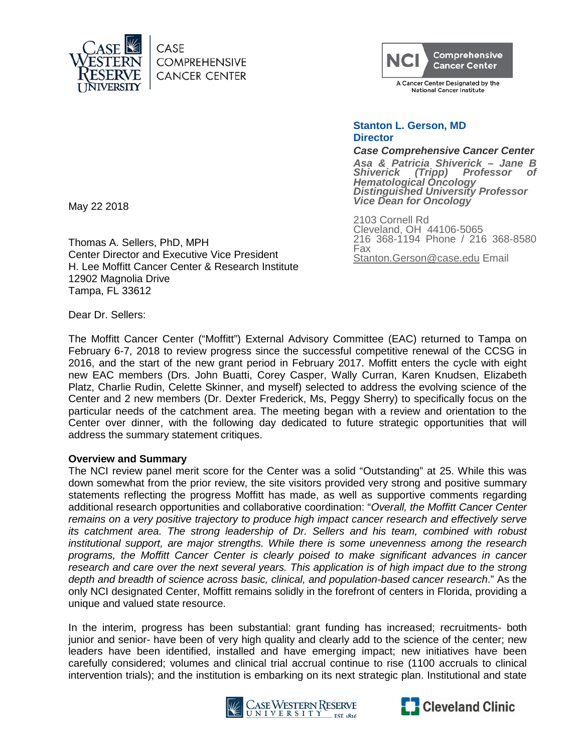

CASE **COMPREHENSIVE CANCER CENTER** 



A Cancer Center Designated by the **National Cancer Institute** 

## **Stanton L. Gerson, MD Director**

#### *Case Comprehensive Cancer Center*

*Asa & Patricia Shiverick – Jane B*  **Professor** *Hematological Oncology Distinguished University Professor Vice Dean for Oncology*

2103 Cornell Rd Cleveland, OH 44106-5065 216 368-1194 Phone / 216 368-8580 Fax Stanton.Gerson@case.edu Email

May 22 2018

Thomas A. Sellers, PhD, MPH Center Director and Executive Vice President H. Lee Moffitt Cancer Center & Research Institute 12902 Magnolia Drive Tampa, FL 33612

Dear Dr. Sellers:

The Moffitt Cancer Center ("Moffitt") External Advisory Committee (EAC) returned to Tampa on February 6-7, 2018 to review progress since the successful competitive renewal of the CCSG in 2016, and the start of the new grant period in February 2017. Moffitt enters the cycle with eight new EAC members (Drs. John Buatti, Corey Casper, Wally Curran, Karen Knudsen, Elizabeth Platz, Charlie Rudin, Celette Skinner, and myself) selected to address the evolving science of the Center and 2 new members (Dr. Dexter Frederick, Ms, Peggy Sherry) to specifically focus on the particular needs of the catchment area. The meeting began with a review and orientation to the Center over dinner, with the following day dedicated to future strategic opportunities that will address the summary statement critiques.

## **Overview and Summary**

The NCI review panel merit score for the Center was a solid "Outstanding" at 25. While this was down somewhat from the prior review, the site visitors provided very strong and positive summary statements reflecting the progress Moffitt has made, as well as supportive comments regarding additional research opportunities and collaborative coordination: "*Overall, the Moffitt Cancer Center remains on a very positive trajectory to produce high impact cancer research and effectively serve its catchment area. The strong leadership of Dr. Sellers and his team, combined with robust institutional support, are major strengths. While there is some unevenness among the research programs, the Moffitt Cancer Center is clearly poised to make significant advances in cancer research and care over the next several years. This application is of high impact due to the strong depth and breadth of science across basic, clinical, and population-based cancer research*." As the only NCI designated Center, Moffitt remains solidly in the forefront of centers in Florida, providing a unique and valued state resource.

In the interim, progress has been substantial: grant funding has increased; recruitments- both junior and senior- have been of very high quality and clearly add to the science of the center; new leaders have been identified, installed and have emerging impact; new initiatives have been carefully considered; volumes and clinical trial accrual continue to rise (1100 accruals to clinical intervention trials); and the institution is embarking on its next strategic plan. Institutional and state



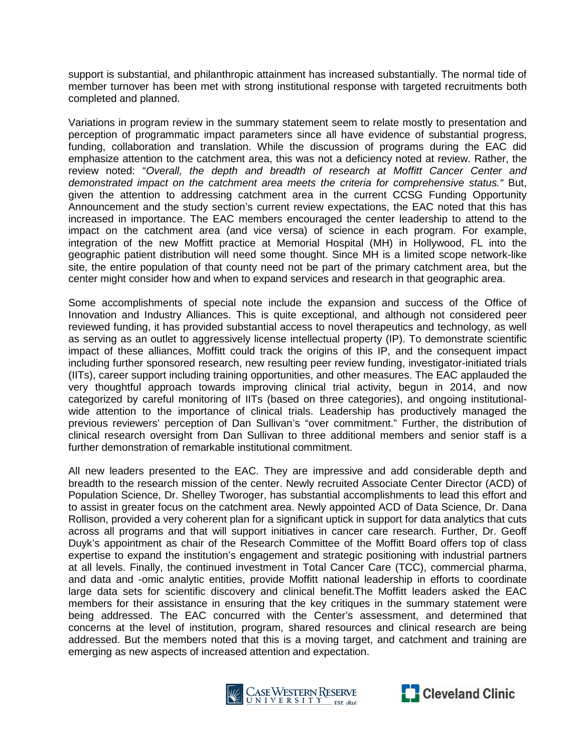support is substantial, and philanthropic attainment has increased substantially. The normal tide of member turnover has been met with strong institutional response with targeted recruitments both completed and planned.

Variations in program review in the summary statement seem to relate mostly to presentation and perception of programmatic impact parameters since all have evidence of substantial progress, funding, collaboration and translation. While the discussion of programs during the EAC did emphasize attention to the catchment area, this was not a deficiency noted at review. Rather, the review noted: "*Overall, the depth and breadth of research at Moffitt Cancer Center and demonstrated impact on the catchment area meets the criteria for comprehensive status."* But, given the attention to addressing catchment area in the current CCSG Funding Opportunity Announcement and the study section's current review expectations, the EAC noted that this has increased in importance. The EAC members encouraged the center leadership to attend to the impact on the catchment area (and vice versa) of science in each program. For example, integration of the new Moffitt practice at Memorial Hospital (MH) in Hollywood, FL into the geographic patient distribution will need some thought. Since MH is a limited scope network-like site, the entire population of that county need not be part of the primary catchment area, but the center might consider how and when to expand services and research in that geographic area.

Some accomplishments of special note include the expansion and success of the Office of Innovation and Industry Alliances. This is quite exceptional, and although not considered peer reviewed funding, it has provided substantial access to novel therapeutics and technology, as well as serving as an outlet to aggressively license intellectual property (IP). To demonstrate scientific impact of these alliances, Moffitt could track the origins of this IP, and the consequent impact including further sponsored research, new resulting peer review funding, investigator-initiated trials (IITs), career support including training opportunities, and other measures. The EAC applauded the very thoughtful approach towards improving clinical trial activity, begun in 2014, and now categorized by careful monitoring of IITs (based on three categories), and ongoing institutionalwide attention to the importance of clinical trials. Leadership has productively managed the previous reviewers' perception of Dan Sullivan's "over commitment." Further, the distribution of clinical research oversight from Dan Sullivan to three additional members and senior staff is a further demonstration of remarkable institutional commitment.

All new leaders presented to the EAC. They are impressive and add considerable depth and breadth to the research mission of the center. Newly recruited Associate Center Director (ACD) of Population Science, Dr. Shelley Tworoger, has substantial accomplishments to lead this effort and to assist in greater focus on the catchment area. Newly appointed ACD of Data Science, Dr. Dana Rollison, provided a very coherent plan for a significant uptick in support for data analytics that cuts across all programs and that will support initiatives in cancer care research. Further, Dr. Geoff Duyk's appointment as chair of the Research Committee of the Moffitt Board offers top of class expertise to expand the institution's engagement and strategic positioning with industrial partners at all levels. Finally, the continued investment in Total Cancer Care (TCC), commercial pharma, and data and -omic analytic entities, provide Moffitt national leadership in efforts to coordinate large data sets for scientific discovery and clinical benefit.The Moffitt leaders asked the EAC members for their assistance in ensuring that the key critiques in the summary statement were being addressed. The EAC concurred with the Center's assessment, and determined that concerns at the level of institution, program, shared resources and clinical research are being addressed. But the members noted that this is a moving target, and catchment and training are emerging as new aspects of increased attention and expectation.



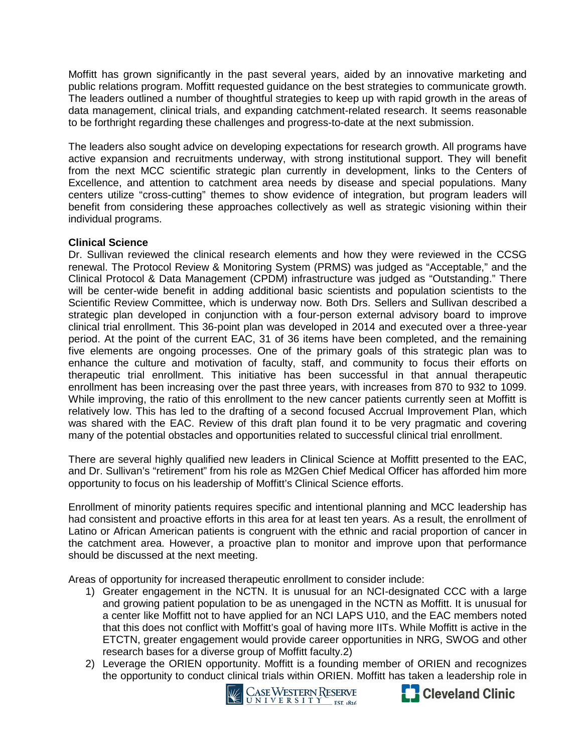Moffitt has grown significantly in the past several years, aided by an innovative marketing and public relations program. Moffitt requested guidance on the best strategies to communicate growth. The leaders outlined a number of thoughtful strategies to keep up with rapid growth in the areas of data management, clinical trials, and expanding catchment-related research. It seems reasonable to be forthright regarding these challenges and progress-to-date at the next submission.

The leaders also sought advice on developing expectations for research growth. All programs have active expansion and recruitments underway, with strong institutional support. They will benefit from the next MCC scientific strategic plan currently in development, links to the Centers of Excellence, and attention to catchment area needs by disease and special populations. Many centers utilize "cross-cutting" themes to show evidence of integration, but program leaders will benefit from considering these approaches collectively as well as strategic visioning within their individual programs.

## **Clinical Science**

Dr. Sullivan reviewed the clinical research elements and how they were reviewed in the CCSG renewal. The Protocol Review & Monitoring System (PRMS) was judged as "Acceptable," and the Clinical Protocol & Data Management (CPDM) infrastructure was judged as "Outstanding." There will be center-wide benefit in adding additional basic scientists and population scientists to the Scientific Review Committee, which is underway now. Both Drs. Sellers and Sullivan described a strategic plan developed in conjunction with a four-person external advisory board to improve clinical trial enrollment. This 36-point plan was developed in 2014 and executed over a three-year period. At the point of the current EAC, 31 of 36 items have been completed, and the remaining five elements are ongoing processes. One of the primary goals of this strategic plan was to enhance the culture and motivation of faculty, staff, and community to focus their efforts on therapeutic trial enrollment. This initiative has been successful in that annual therapeutic enrollment has been increasing over the past three years, with increases from 870 to 932 to 1099. While improving, the ratio of this enrollment to the new cancer patients currently seen at Moffitt is relatively low. This has led to the drafting of a second focused Accrual Improvement Plan, which was shared with the EAC. Review of this draft plan found it to be very pragmatic and covering many of the potential obstacles and opportunities related to successful clinical trial enrollment.

There are several highly qualified new leaders in Clinical Science at Moffitt presented to the EAC, and Dr. Sullivan's "retirement" from his role as M2Gen Chief Medical Officer has afforded him more opportunity to focus on his leadership of Moffitt's Clinical Science efforts.

Enrollment of minority patients requires specific and intentional planning and MCC leadership has had consistent and proactive efforts in this area for at least ten years. As a result, the enrollment of Latino or African American patients is congruent with the ethnic and racial proportion of cancer in the catchment area. However, a proactive plan to monitor and improve upon that performance should be discussed at the next meeting.

Areas of opportunity for increased therapeutic enrollment to consider include:

- 1) Greater engagement in the NCTN. It is unusual for an NCI-designated CCC with a large and growing patient population to be as unengaged in the NCTN as Moffitt. It is unusual for a center like Moffitt not to have applied for an NCI LAPS U10, and the EAC members noted that this does not conflict with Moffitt's goal of having more IITs. While Moffitt is active in the ETCTN, greater engagement would provide career opportunities in NRG, SWOG and other research bases for a diverse group of Moffitt faculty.2)
- 2) Leverage the ORIEN opportunity. Moffitt is a founding member of ORIEN and recognizes the opportunity to conduct clinical trials within ORIEN. Moffitt has taken a leadership role in



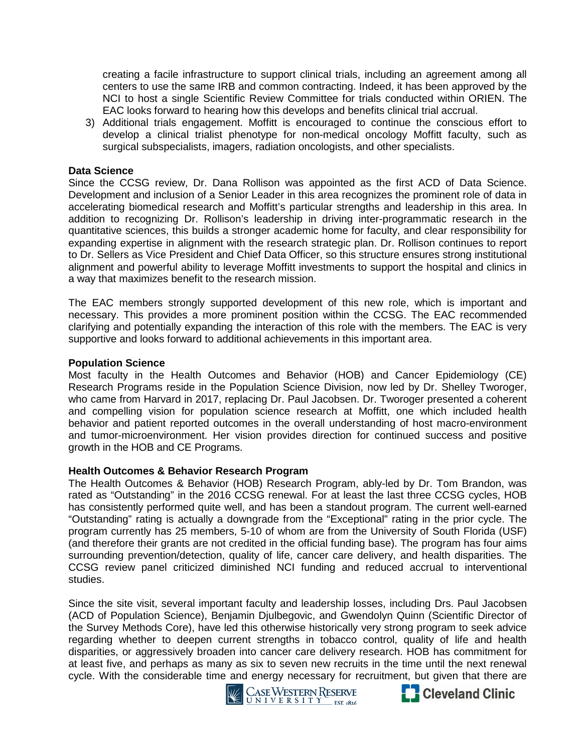creating a facile infrastructure to support clinical trials, including an agreement among all centers to use the same IRB and common contracting. Indeed, it has been approved by the NCI to host a single Scientific Review Committee for trials conducted within ORIEN. The EAC looks forward to hearing how this develops and benefits clinical trial accrual.

3) Additional trials engagement. Moffitt is encouraged to continue the conscious effort to develop a clinical trialist phenotype for non-medical oncology Moffitt faculty, such as surgical subspecialists, imagers, radiation oncologists, and other specialists.

#### **Data Science**

Since the CCSG review, Dr. Dana Rollison was appointed as the first ACD of Data Science. Development and inclusion of a Senior Leader in this area recognizes the prominent role of data in accelerating biomedical research and Moffitt's particular strengths and leadership in this area. In addition to recognizing Dr. Rollison's leadership in driving inter-programmatic research in the quantitative sciences, this builds a stronger academic home for faculty, and clear responsibility for expanding expertise in alignment with the research strategic plan. Dr. Rollison continues to report to Dr. Sellers as Vice President and Chief Data Officer, so this structure ensures strong institutional alignment and powerful ability to leverage Moffitt investments to support the hospital and clinics in a way that maximizes benefit to the research mission.

The EAC members strongly supported development of this new role, which is important and necessary. This provides a more prominent position within the CCSG. The EAC recommended clarifying and potentially expanding the interaction of this role with the members. The EAC is very supportive and looks forward to additional achievements in this important area.

#### **Population Science**

Most faculty in the Health Outcomes and Behavior (HOB) and Cancer Epidemiology (CE) Research Programs reside in the Population Science Division, now led by Dr. Shelley Tworoger, who came from Harvard in 2017, replacing Dr. Paul Jacobsen. Dr. Tworoger presented a coherent and compelling vision for population science research at Moffitt, one which included health behavior and patient reported outcomes in the overall understanding of host macro-environment and tumor-microenvironment. Her vision provides direction for continued success and positive growth in the HOB and CE Programs.

#### **Health Outcomes & Behavior Research Program**

The Health Outcomes & Behavior (HOB) Research Program, ably-led by Dr. Tom Brandon, was rated as "Outstanding" in the 2016 CCSG renewal. For at least the last three CCSG cycles, HOB has consistently performed quite well, and has been a standout program. The current well-earned "Outstanding" rating is actually a downgrade from the "Exceptional" rating in the prior cycle. The program currently has 25 members, 5-10 of whom are from the University of South Florida (USF) (and therefore their grants are not credited in the official funding base). The program has four aims surrounding prevention/detection, quality of life, cancer care delivery, and health disparities. The CCSG review panel criticized diminished NCI funding and reduced accrual to interventional studies.

Since the site visit, several important faculty and leadership losses, including Drs. Paul Jacobsen (ACD of Population Science), Benjamin Djulbegovic, and Gwendolyn Quinn (Scientific Director of the Survey Methods Core), have led this otherwise historically very strong program to seek advice regarding whether to deepen current strengths in tobacco control, quality of life and health disparities, or aggressively broaden into cancer care delivery research. HOB has commitment for at least five, and perhaps as many as six to seven new recruits in the time until the next renewal cycle. With the considerable time and energy necessary for recruitment, but given that there are



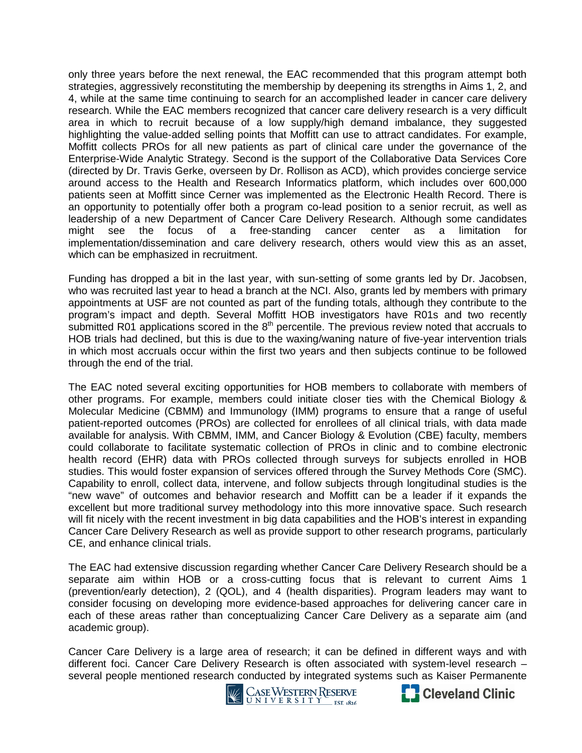only three years before the next renewal, the EAC recommended that this program attempt both strategies, aggressively reconstituting the membership by deepening its strengths in Aims 1, 2, and 4, while at the same time continuing to search for an accomplished leader in cancer care delivery research. While the EAC members recognized that cancer care delivery research is a very difficult area in which to recruit because of a low supply/high demand imbalance, they suggested highlighting the value-added selling points that Moffitt can use to attract candidates. For example, Moffitt collects PROs for all new patients as part of clinical care under the governance of the Enterprise-Wide Analytic Strategy. Second is the support of the Collaborative Data Services Core (directed by Dr. Travis Gerke, overseen by Dr. Rollison as ACD), which provides concierge service around access to the Health and Research Informatics platform, which includes over 600,000 patients seen at Moffitt since Cerner was implemented as the Electronic Health Record. There is an opportunity to potentially offer both a program co-lead position to a senior recruit, as well as leadership of a new Department of Cancer Care Delivery Research. Although some candidates might see the focus of a free-standing cancer center as a limitation for implementation/dissemination and care delivery research, others would view this as an asset, which can be emphasized in recruitment.

Funding has dropped a bit in the last year, with sun-setting of some grants led by Dr. Jacobsen, who was recruited last year to head a branch at the NCI. Also, grants led by members with primary appointments at USF are not counted as part of the funding totals, although they contribute to the program's impact and depth. Several Moffitt HOB investigators have R01s and two recently submitted R01 applications scored in the  $8<sup>th</sup>$  percentile. The previous review noted that accruals to HOB trials had declined, but this is due to the waxing/waning nature of five-year intervention trials in which most accruals occur within the first two years and then subjects continue to be followed through the end of the trial.

The EAC noted several exciting opportunities for HOB members to collaborate with members of other programs. For example, members could initiate closer ties with the Chemical Biology & Molecular Medicine (CBMM) and Immunology (IMM) programs to ensure that a range of useful patient-reported outcomes (PROs) are collected for enrollees of all clinical trials, with data made available for analysis. With CBMM, IMM, and Cancer Biology & Evolution (CBE) faculty, members could collaborate to facilitate systematic collection of PROs in clinic and to combine electronic health record (EHR) data with PROs collected through surveys for subjects enrolled in HOB studies. This would foster expansion of services offered through the Survey Methods Core (SMC). Capability to enroll, collect data, intervene, and follow subjects through longitudinal studies is the "new wave" of outcomes and behavior research and Moffitt can be a leader if it expands the excellent but more traditional survey methodology into this more innovative space. Such research will fit nicely with the recent investment in big data capabilities and the HOB's interest in expanding Cancer Care Delivery Research as well as provide support to other research programs, particularly CE, and enhance clinical trials.

The EAC had extensive discussion regarding whether Cancer Care Delivery Research should be a separate aim within HOB or a cross-cutting focus that is relevant to current Aims 1 (prevention/early detection), 2 (QOL), and 4 (health disparities). Program leaders may want to consider focusing on developing more evidence-based approaches for delivering cancer care in each of these areas rather than conceptualizing Cancer Care Delivery as a separate aim (and academic group).

Cancer Care Delivery is a large area of research; it can be defined in different ways and with different foci. Cancer Care Delivery Research is often associated with system-level research – several people mentioned research conducted by integrated systems such as Kaiser Permanente<br>Cleveland Clinic



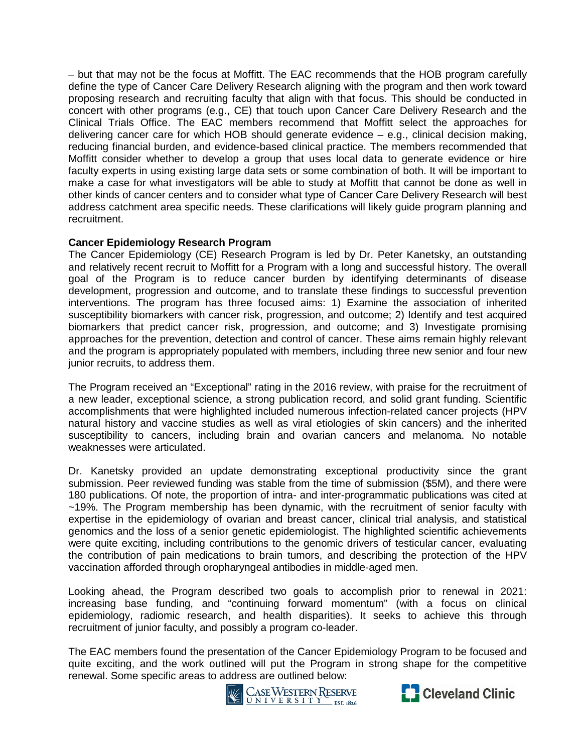– but that may not be the focus at Moffitt. The EAC recommends that the HOB program carefully define the type of Cancer Care Delivery Research aligning with the program and then work toward proposing research and recruiting faculty that align with that focus. This should be conducted in concert with other programs (e.g., CE) that touch upon Cancer Care Delivery Research and the Clinical Trials Office. The EAC members recommend that Moffitt select the approaches for delivering cancer care for which HOB should generate evidence – e.g., clinical decision making, reducing financial burden, and evidence-based clinical practice. The members recommended that Moffitt consider whether to develop a group that uses local data to generate evidence or hire faculty experts in using existing large data sets or some combination of both. It will be important to make a case for what investigators will be able to study at Moffitt that cannot be done as well in other kinds of cancer centers and to consider what type of Cancer Care Delivery Research will best address catchment area specific needs. These clarifications will likely guide program planning and recruitment.

# **Cancer Epidemiology Research Program**

The Cancer Epidemiology (CE) Research Program is led by Dr. Peter Kanetsky, an outstanding and relatively recent recruit to Moffitt for a Program with a long and successful history. The overall goal of the Program is to reduce cancer burden by identifying determinants of disease development, progression and outcome, and to translate these findings to successful prevention interventions. The program has three focused aims: 1) Examine the association of inherited susceptibility biomarkers with cancer risk, progression, and outcome; 2) Identify and test acquired biomarkers that predict cancer risk, progression, and outcome; and 3) Investigate promising approaches for the prevention, detection and control of cancer. These aims remain highly relevant and the program is appropriately populated with members, including three new senior and four new junior recruits, to address them.

The Program received an "Exceptional" rating in the 2016 review, with praise for the recruitment of a new leader, exceptional science, a strong publication record, and solid grant funding. Scientific accomplishments that were highlighted included numerous infection-related cancer projects (HPV natural history and vaccine studies as well as viral etiologies of skin cancers) and the inherited susceptibility to cancers, including brain and ovarian cancers and melanoma. No notable weaknesses were articulated.

Dr. Kanetsky provided an update demonstrating exceptional productivity since the grant submission. Peer reviewed funding was stable from the time of submission (\$5M), and there were 180 publications. Of note, the proportion of intra- and inter-programmatic publications was cited at ~19%. The Program membership has been dynamic, with the recruitment of senior faculty with expertise in the epidemiology of ovarian and breast cancer, clinical trial analysis, and statistical genomics and the loss of a senior genetic epidemiologist. The highlighted scientific achievements were quite exciting, including contributions to the genomic drivers of testicular cancer, evaluating the contribution of pain medications to brain tumors, and describing the protection of the HPV vaccination afforded through oropharyngeal antibodies in middle-aged men.

Looking ahead, the Program described two goals to accomplish prior to renewal in 2021: increasing base funding, and "continuing forward momentum" (with a focus on clinical epidemiology, radiomic research, and health disparities). It seeks to achieve this through recruitment of junior faculty, and possibly a program co-leader.

The EAC members found the presentation of the Cancer Epidemiology Program to be focused and quite exciting, and the work outlined will put the Program in strong shape for the competitive renewal. Some specific areas to address are outlined below:<br>Verster RESERVE



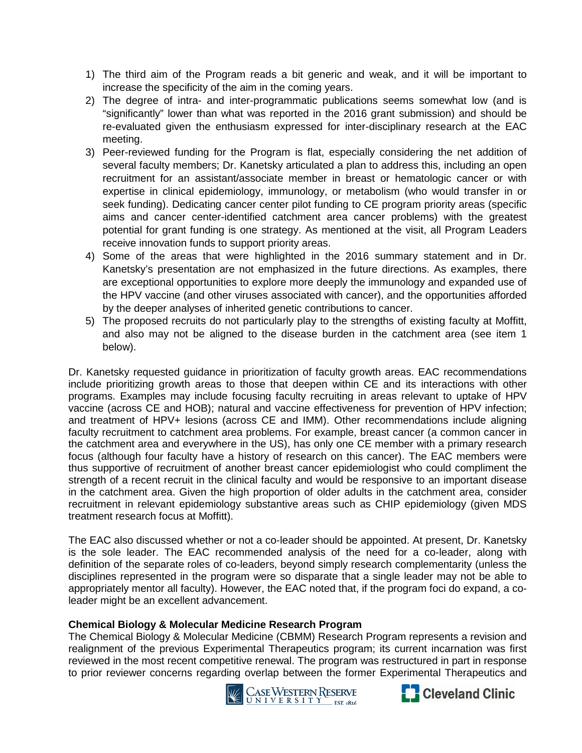- 1) The third aim of the Program reads a bit generic and weak, and it will be important to increase the specificity of the aim in the coming years.
- 2) The degree of intra- and inter-programmatic publications seems somewhat low (and is "significantly" lower than what was reported in the 2016 grant submission) and should be re-evaluated given the enthusiasm expressed for inter-disciplinary research at the EAC meeting.
- 3) Peer-reviewed funding for the Program is flat, especially considering the net addition of several faculty members; Dr. Kanetsky articulated a plan to address this, including an open recruitment for an assistant/associate member in breast or hematologic cancer or with expertise in clinical epidemiology, immunology, or metabolism (who would transfer in or seek funding). Dedicating cancer center pilot funding to CE program priority areas (specific aims and cancer center-identified catchment area cancer problems) with the greatest potential for grant funding is one strategy. As mentioned at the visit, all Program Leaders receive innovation funds to support priority areas.
- 4) Some of the areas that were highlighted in the 2016 summary statement and in Dr. Kanetsky's presentation are not emphasized in the future directions. As examples, there are exceptional opportunities to explore more deeply the immunology and expanded use of the HPV vaccine (and other viruses associated with cancer), and the opportunities afforded by the deeper analyses of inherited genetic contributions to cancer.
- 5) The proposed recruits do not particularly play to the strengths of existing faculty at Moffitt, and also may not be aligned to the disease burden in the catchment area (see item 1 below).

Dr. Kanetsky requested guidance in prioritization of faculty growth areas. EAC recommendations include prioritizing growth areas to those that deepen within CE and its interactions with other programs. Examples may include focusing faculty recruiting in areas relevant to uptake of HPV vaccine (across CE and HOB); natural and vaccine effectiveness for prevention of HPV infection; and treatment of HPV+ lesions (across CE and IMM). Other recommendations include aligning faculty recruitment to catchment area problems. For example, breast cancer (a common cancer in the catchment area and everywhere in the US), has only one CE member with a primary research focus (although four faculty have a history of research on this cancer). The EAC members were thus supportive of recruitment of another breast cancer epidemiologist who could compliment the strength of a recent recruit in the clinical faculty and would be responsive to an important disease in the catchment area. Given the high proportion of older adults in the catchment area, consider recruitment in relevant epidemiology substantive areas such as CHIP epidemiology (given MDS treatment research focus at Moffitt).

The EAC also discussed whether or not a co-leader should be appointed. At present, Dr. Kanetsky is the sole leader. The EAC recommended analysis of the need for a co-leader, along with definition of the separate roles of co-leaders, beyond simply research complementarity (unless the disciplines represented in the program were so disparate that a single leader may not be able to appropriately mentor all faculty). However, the EAC noted that, if the program foci do expand, a coleader might be an excellent advancement.

## **Chemical Biology & Molecular Medicine Research Program**

The Chemical Biology & Molecular Medicine (CBMM) Research Program represents a revision and realignment of the previous Experimental Therapeutics program; its current incarnation was first reviewed in the most recent competitive renewal. The program was restructured in part in response to prior reviewer concerns regarding overlap between the former Experimental Therapeutics and



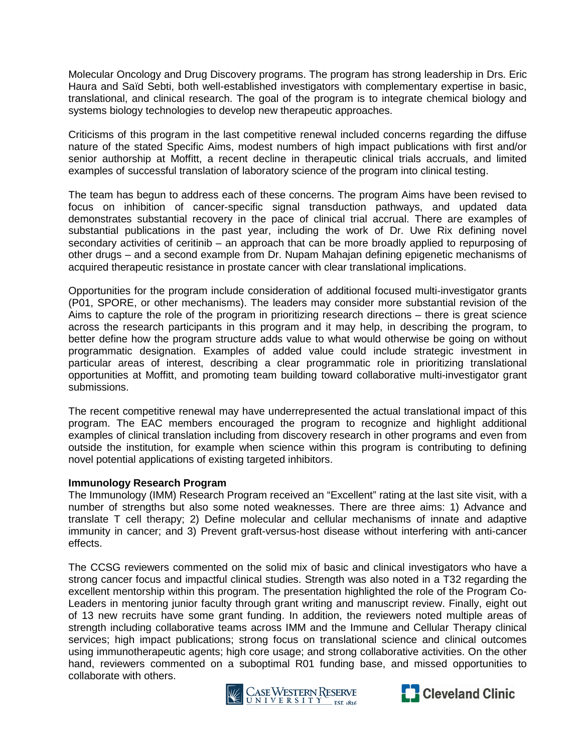Molecular Oncology and Drug Discovery programs. The program has strong leadership in Drs. Eric Haura and Saïd Sebti, both well-established investigators with complementary expertise in basic, translational, and clinical research. The goal of the program is to integrate chemical biology and systems biology technologies to develop new therapeutic approaches.

Criticisms of this program in the last competitive renewal included concerns regarding the diffuse nature of the stated Specific Aims, modest numbers of high impact publications with first and/or senior authorship at Moffitt, a recent decline in therapeutic clinical trials accruals, and limited examples of successful translation of laboratory science of the program into clinical testing.

The team has begun to address each of these concerns. The program Aims have been revised to focus on inhibition of cancer-specific signal transduction pathways, and updated data demonstrates substantial recovery in the pace of clinical trial accrual. There are examples of substantial publications in the past year, including the work of Dr. Uwe Rix defining novel secondary activities of ceritinib – an approach that can be more broadly applied to repurposing of other drugs – and a second example from Dr. Nupam Mahajan defining epigenetic mechanisms of acquired therapeutic resistance in prostate cancer with clear translational implications.

Opportunities for the program include consideration of additional focused multi-investigator grants (P01, SPORE, or other mechanisms). The leaders may consider more substantial revision of the Aims to capture the role of the program in prioritizing research directions – there is great science across the research participants in this program and it may help, in describing the program, to better define how the program structure adds value to what would otherwise be going on without programmatic designation. Examples of added value could include strategic investment in particular areas of interest, describing a clear programmatic role in prioritizing translational opportunities at Moffitt, and promoting team building toward collaborative multi-investigator grant submissions.

The recent competitive renewal may have underrepresented the actual translational impact of this program. The EAC members encouraged the program to recognize and highlight additional examples of clinical translation including from discovery research in other programs and even from outside the institution, for example when science within this program is contributing to defining novel potential applications of existing targeted inhibitors.

#### **Immunology Research Program**

The Immunology (IMM) Research Program received an "Excellent" rating at the last site visit, with a number of strengths but also some noted weaknesses. There are three aims: 1) Advance and translate T cell therapy; 2) Define molecular and cellular mechanisms of innate and adaptive immunity in cancer; and 3) Prevent graft-versus-host disease without interfering with anti-cancer effects.

The CCSG reviewers commented on the solid mix of basic and clinical investigators who have a strong cancer focus and impactful clinical studies. Strength was also noted in a T32 regarding the excellent mentorship within this program. The presentation highlighted the role of the Program Co-Leaders in mentoring junior faculty through grant writing and manuscript review. Finally, eight out of 13 new recruits have some grant funding. In addition, the reviewers noted multiple areas of strength including collaborative teams across IMM and the Immune and Cellular Therapy clinical services; high impact publications; strong focus on translational science and clinical outcomes using immunotherapeutic agents; high core usage; and strong collaborative activities. On the other hand, reviewers commented on a suboptimal R01 funding base, and missed opportunities to collaborate with others.



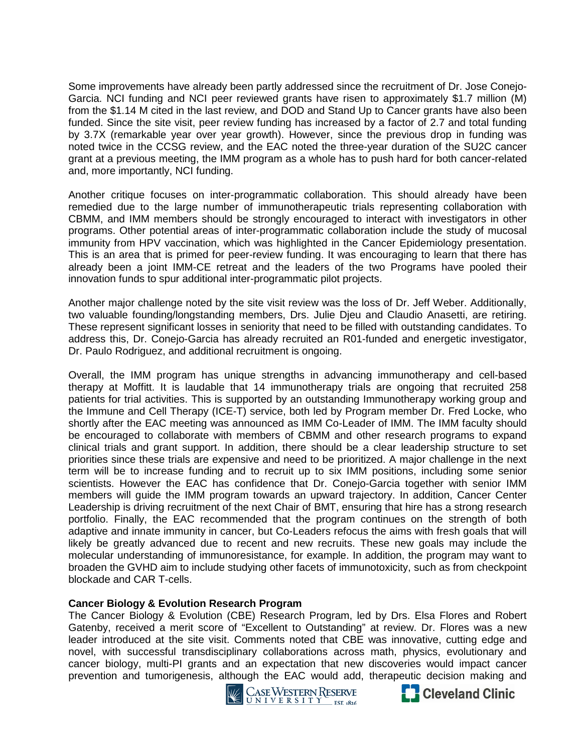Some improvements have already been partly addressed since the recruitment of Dr. Jose Conejo-Garcia. NCI funding and NCI peer reviewed grants have risen to approximately \$1.7 million (M) from the \$1.14 M cited in the last review, and DOD and Stand Up to Cancer grants have also been funded. Since the site visit, peer review funding has increased by a factor of 2.7 and total funding by 3.7X (remarkable year over year growth). However, since the previous drop in funding was noted twice in the CCSG review, and the EAC noted the three-year duration of the SU2C cancer grant at a previous meeting, the IMM program as a whole has to push hard for both cancer-related and, more importantly, NCI funding.

Another critique focuses on inter-programmatic collaboration. This should already have been remedied due to the large number of immunotherapeutic trials representing collaboration with CBMM, and IMM members should be strongly encouraged to interact with investigators in other programs. Other potential areas of inter-programmatic collaboration include the study of mucosal immunity from HPV vaccination, which was highlighted in the Cancer Epidemiology presentation. This is an area that is primed for peer-review funding. It was encouraging to learn that there has already been a joint IMM-CE retreat and the leaders of the two Programs have pooled their innovation funds to spur additional inter-programmatic pilot projects.

Another major challenge noted by the site visit review was the loss of Dr. Jeff Weber. Additionally, two valuable founding/longstanding members, Drs. Julie Djeu and Claudio Anasetti, are retiring. These represent significant losses in seniority that need to be filled with outstanding candidates. To address this, Dr. Conejo-Garcia has already recruited an R01-funded and energetic investigator, Dr. Paulo Rodriguez, and additional recruitment is ongoing.

Overall, the IMM program has unique strengths in advancing immunotherapy and cell-based therapy at Moffitt. It is laudable that 14 immunotherapy trials are ongoing that recruited 258 patients for trial activities. This is supported by an outstanding Immunotherapy working group and the Immune and Cell Therapy (ICE-T) service, both led by Program member Dr. Fred Locke, who shortly after the EAC meeting was announced as IMM Co-Leader of IMM. The IMM faculty should be encouraged to collaborate with members of CBMM and other research programs to expand clinical trials and grant support. In addition, there should be a clear leadership structure to set priorities since these trials are expensive and need to be prioritized. A major challenge in the next term will be to increase funding and to recruit up to six IMM positions, including some senior scientists. However the EAC has confidence that Dr. Conejo-Garcia together with senior IMM members will guide the IMM program towards an upward trajectory. In addition, Cancer Center Leadership is driving recruitment of the next Chair of BMT, ensuring that hire has a strong research portfolio. Finally, the EAC recommended that the program continues on the strength of both adaptive and innate immunity in cancer, but Co-Leaders refocus the aims with fresh goals that will likely be greatly advanced due to recent and new recruits. These new goals may include the molecular understanding of immunoresistance, for example. In addition, the program may want to broaden the GVHD aim to include studying other facets of immunotoxicity, such as from checkpoint blockade and CAR T-cells.

## **Cancer Biology & Evolution Research Program**

The Cancer Biology & Evolution (CBE) Research Program, led by Drs. Elsa Flores and Robert Gatenby, received a merit score of "Excellent to Outstanding" at review. Dr. Flores was a new leader introduced at the site visit. Comments noted that CBE was innovative, cutting edge and novel, with successful transdisciplinary collaborations across math, physics, evolutionary and cancer biology, multi-PI grants and an expectation that new discoveries would impact cancer prevention and tumorigenesis, although the EAC would add, therapeutic decision making and



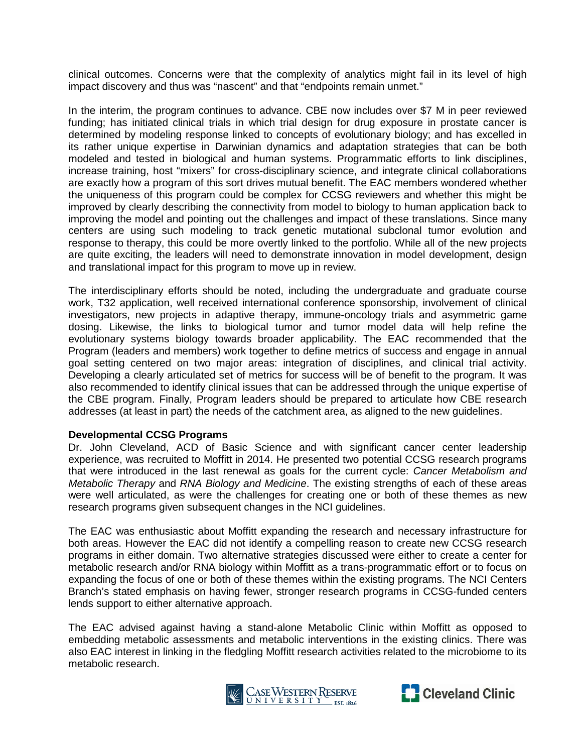clinical outcomes. Concerns were that the complexity of analytics might fail in its level of high impact discovery and thus was "nascent" and that "endpoints remain unmet."

In the interim, the program continues to advance. CBE now includes over \$7 M in peer reviewed funding; has initiated clinical trials in which trial design for drug exposure in prostate cancer is determined by modeling response linked to concepts of evolutionary biology; and has excelled in its rather unique expertise in Darwinian dynamics and adaptation strategies that can be both modeled and tested in biological and human systems. Programmatic efforts to link disciplines, increase training, host "mixers" for cross-disciplinary science, and integrate clinical collaborations are exactly how a program of this sort drives mutual benefit. The EAC members wondered whether the uniqueness of this program could be complex for CCSG reviewers and whether this might be improved by clearly describing the connectivity from model to biology to human application back to improving the model and pointing out the challenges and impact of these translations. Since many centers are using such modeling to track genetic mutational subclonal tumor evolution and response to therapy, this could be more overtly linked to the portfolio. While all of the new projects are quite exciting, the leaders will need to demonstrate innovation in model development, design and translational impact for this program to move up in review.

The interdisciplinary efforts should be noted, including the undergraduate and graduate course work, T32 application, well received international conference sponsorship, involvement of clinical investigators, new projects in adaptive therapy, immune-oncology trials and asymmetric game dosing. Likewise, the links to biological tumor and tumor model data will help refine the evolutionary systems biology towards broader applicability. The EAC recommended that the Program (leaders and members) work together to define metrics of success and engage in annual goal setting centered on two major areas: integration of disciplines, and clinical trial activity. Developing a clearly articulated set of metrics for success will be of benefit to the program. It was also recommended to identify clinical issues that can be addressed through the unique expertise of the CBE program. Finally, Program leaders should be prepared to articulate how CBE research addresses (at least in part) the needs of the catchment area, as aligned to the new guidelines.

#### **Developmental CCSG Programs**

Dr. John Cleveland, ACD of Basic Science and with significant cancer center leadership experience, was recruited to Moffitt in 2014. He presented two potential CCSG research programs that were introduced in the last renewal as goals for the current cycle: *Cancer Metabolism and Metabolic Therapy* and *RNA Biology and Medicine*. The existing strengths of each of these areas were well articulated, as were the challenges for creating one or both of these themes as new research programs given subsequent changes in the NCI guidelines.

The EAC was enthusiastic about Moffitt expanding the research and necessary infrastructure for both areas. However the EAC did not identify a compelling reason to create new CCSG research programs in either domain. Two alternative strategies discussed were either to create a center for metabolic research and/or RNA biology within Moffitt as a trans-programmatic effort or to focus on expanding the focus of one or both of these themes within the existing programs. The NCI Centers Branch's stated emphasis on having fewer, stronger research programs in CCSG-funded centers lends support to either alternative approach.

The EAC advised against having a stand-alone Metabolic Clinic within Moffitt as opposed to embedding metabolic assessments and metabolic interventions in the existing clinics. There was also EAC interest in linking in the fledgling Moffitt research activities related to the microbiome to its metabolic research.



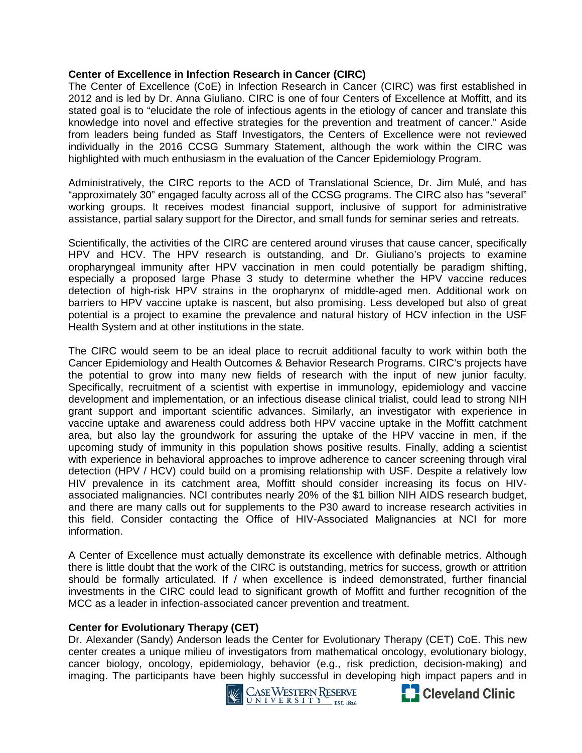## **Center of Excellence in Infection Research in Cancer (CIRC)**

The Center of Excellence (CoE) in Infection Research in Cancer (CIRC) was first established in 2012 and is led by Dr. Anna Giuliano. CIRC is one of four Centers of Excellence at Moffitt, and its stated goal is to "elucidate the role of infectious agents in the etiology of cancer and translate this knowledge into novel and effective strategies for the prevention and treatment of cancer." Aside from leaders being funded as Staff Investigators, the Centers of Excellence were not reviewed individually in the 2016 CCSG Summary Statement, although the work within the CIRC was highlighted with much enthusiasm in the evaluation of the Cancer Epidemiology Program.

Administratively, the CIRC reports to the ACD of Translational Science, Dr. Jim Mulé, and has "approximately 30" engaged faculty across all of the CCSG programs. The CIRC also has "several" working groups. It receives modest financial support, inclusive of support for administrative assistance, partial salary support for the Director, and small funds for seminar series and retreats.

Scientifically, the activities of the CIRC are centered around viruses that cause cancer, specifically HPV and HCV. The HPV research is outstanding, and Dr. Giuliano's projects to examine oropharyngeal immunity after HPV vaccination in men could potentially be paradigm shifting, especially a proposed large Phase 3 study to determine whether the HPV vaccine reduces detection of high-risk HPV strains in the oropharynx of middle-aged men. Additional work on barriers to HPV vaccine uptake is nascent, but also promising. Less developed but also of great potential is a project to examine the prevalence and natural history of HCV infection in the USF Health System and at other institutions in the state.

The CIRC would seem to be an ideal place to recruit additional faculty to work within both the Cancer Epidemiology and Health Outcomes & Behavior Research Programs. CIRC's projects have the potential to grow into many new fields of research with the input of new junior faculty. Specifically, recruitment of a scientist with expertise in immunology, epidemiology and vaccine development and implementation, or an infectious disease clinical trialist, could lead to strong NIH grant support and important scientific advances. Similarly, an investigator with experience in vaccine uptake and awareness could address both HPV vaccine uptake in the Moffitt catchment area, but also lay the groundwork for assuring the uptake of the HPV vaccine in men, if the upcoming study of immunity in this population shows positive results. Finally, adding a scientist with experience in behavioral approaches to improve adherence to cancer screening through viral detection (HPV / HCV) could build on a promising relationship with USF. Despite a relatively low HIV prevalence in its catchment area, Moffitt should consider increasing its focus on HIVassociated malignancies. NCI contributes nearly 20% of the \$1 billion NIH AIDS research budget, and there are many calls out for supplements to the P30 award to increase research activities in this field. Consider contacting the Office of HIV-Associated Malignancies at NCI for more information.

A Center of Excellence must actually demonstrate its excellence with definable metrics. Although there is little doubt that the work of the CIRC is outstanding, metrics for success, growth or attrition should be formally articulated. If / when excellence is indeed demonstrated, further financial investments in the CIRC could lead to significant growth of Moffitt and further recognition of the MCC as a leader in infection-associated cancer prevention and treatment.

## **Center for Evolutionary Therapy (CET)**

Dr. Alexander (Sandy) Anderson leads the Center for Evolutionary Therapy (CET) CoE. This new center creates a unique milieu of investigators from mathematical oncology, evolutionary biology, cancer biology, oncology, epidemiology, behavior (e.g., risk prediction, decision-making) and imaging. The participants have been highly successful in developing high impact papers and in<br>Cleveland Clinic



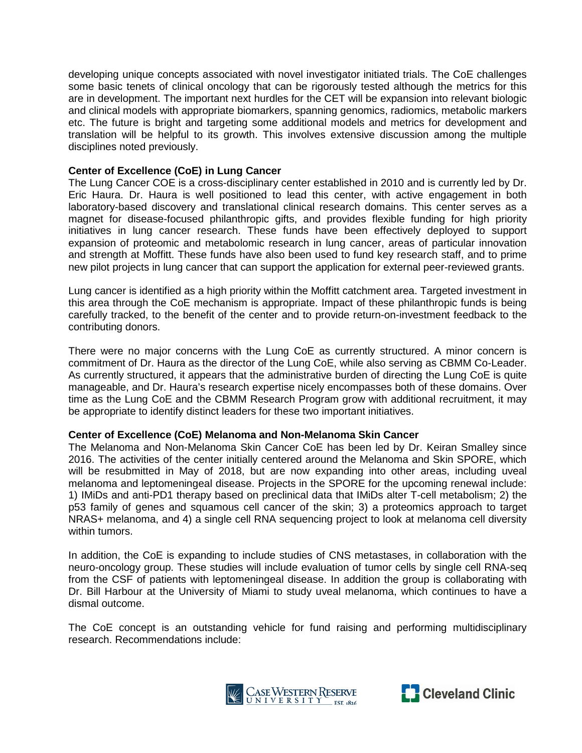developing unique concepts associated with novel investigator initiated trials. The CoE challenges some basic tenets of clinical oncology that can be rigorously tested although the metrics for this are in development. The important next hurdles for the CET will be expansion into relevant biologic and clinical models with appropriate biomarkers, spanning genomics, radiomics, metabolic markers etc. The future is bright and targeting some additional models and metrics for development and translation will be helpful to its growth. This involves extensive discussion among the multiple disciplines noted previously.

## **Center of Excellence (CoE) in Lung Cancer**

The Lung Cancer COE is a cross-disciplinary center established in 2010 and is currently led by Dr. Eric Haura. Dr. Haura is well positioned to lead this center, with active engagement in both laboratory-based discovery and translational clinical research domains. This center serves as a magnet for disease-focused philanthropic gifts, and provides flexible funding for high priority initiatives in lung cancer research. These funds have been effectively deployed to support expansion of proteomic and metabolomic research in lung cancer, areas of particular innovation and strength at Moffitt. These funds have also been used to fund key research staff, and to prime new pilot projects in lung cancer that can support the application for external peer-reviewed grants.

Lung cancer is identified as a high priority within the Moffitt catchment area. Targeted investment in this area through the CoE mechanism is appropriate. Impact of these philanthropic funds is being carefully tracked, to the benefit of the center and to provide return-on-investment feedback to the contributing donors.

There were no major concerns with the Lung CoE as currently structured. A minor concern is commitment of Dr. Haura as the director of the Lung CoE, while also serving as CBMM Co-Leader. As currently structured, it appears that the administrative burden of directing the Lung CoE is quite manageable, and Dr. Haura's research expertise nicely encompasses both of these domains. Over time as the Lung CoE and the CBMM Research Program grow with additional recruitment, it may be appropriate to identify distinct leaders for these two important initiatives.

#### **Center of Excellence (CoE) Melanoma and Non-Melanoma Skin Cancer**

The Melanoma and Non-Melanoma Skin Cancer CoE has been led by Dr. Keiran Smalley since 2016. The activities of the center initially centered around the Melanoma and Skin SPORE, which will be resubmitted in May of 2018, but are now expanding into other areas, including uveal melanoma and leptomeningeal disease. Projects in the SPORE for the upcoming renewal include: 1) IMiDs and anti-PD1 therapy based on preclinical data that IMiDs alter T-cell metabolism; 2) the p53 family of genes and squamous cell cancer of the skin; 3) a proteomics approach to target NRAS+ melanoma, and 4) a single cell RNA sequencing project to look at melanoma cell diversity within tumors.

In addition, the CoE is expanding to include studies of CNS metastases, in collaboration with the neuro-oncology group. These studies will include evaluation of tumor cells by single cell RNA-seq from the CSF of patients with leptomeningeal disease. In addition the group is collaborating with Dr. Bill Harbour at the University of Miami to study uveal melanoma, which continues to have a dismal outcome.

The CoE concept is an outstanding vehicle for fund raising and performing multidisciplinary research. Recommendations include:



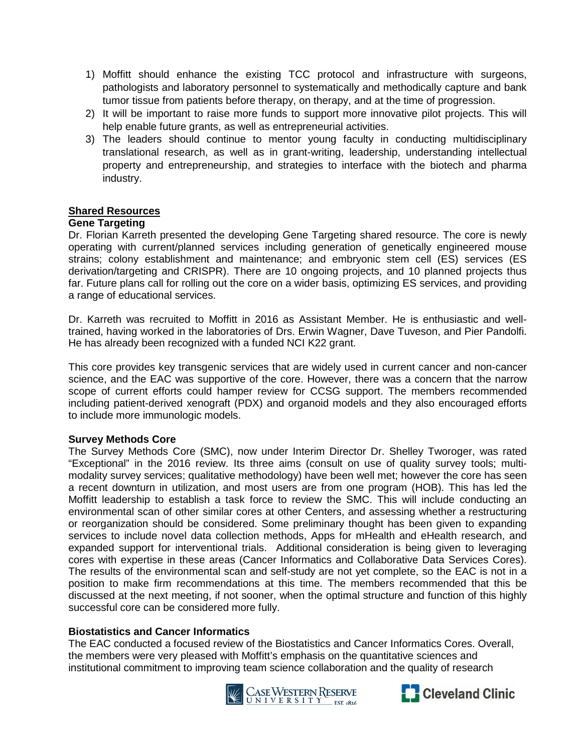- 1) Moffitt should enhance the existing TCC protocol and infrastructure with surgeons, pathologists and laboratory personnel to systematically and methodically capture and bank tumor tissue from patients before therapy, on therapy, and at the time of progression.
- 2) It will be important to raise more funds to support more innovative pilot projects. This will help enable future grants, as well as entrepreneurial activities.
- 3) The leaders should continue to mentor young faculty in conducting multidisciplinary translational research, as well as in grant-writing, leadership, understanding intellectual property and entrepreneurship, and strategies to interface with the biotech and pharma industry.

## **Shared Resources**

#### **Gene Targeting**

Dr. Florian Karreth presented the developing Gene Targeting shared resource. The core is newly operating with current/planned services including generation of genetically engineered mouse strains; colony establishment and maintenance; and embryonic stem cell (ES) services (ES derivation/targeting and CRISPR). There are 10 ongoing projects, and 10 planned projects thus far. Future plans call for rolling out the core on a wider basis, optimizing ES services, and providing a range of educational services.

Dr. Karreth was recruited to Moffitt in 2016 as Assistant Member. He is enthusiastic and welltrained, having worked in the laboratories of Drs. Erwin Wagner, Dave Tuveson, and Pier Pandolfi. He has already been recognized with a funded NCI K22 grant.

This core provides key transgenic services that are widely used in current cancer and non-cancer science, and the EAC was supportive of the core. However, there was a concern that the narrow scope of current efforts could hamper review for CCSG support. The members recommended including patient-derived xenograft (PDX) and organoid models and they also encouraged efforts to include more immunologic models.

#### **Survey Methods Core**

The Survey Methods Core (SMC), now under Interim Director Dr. Shelley Tworoger, was rated "Exceptional" in the 2016 review. Its three aims (consult on use of quality survey tools; multimodality survey services; qualitative methodology) have been well met; however the core has seen a recent downturn in utilization, and most users are from one program (HOB). This has led the Moffitt leadership to establish a task force to review the SMC. This will include conducting an environmental scan of other similar cores at other Centers, and assessing whether a restructuring or reorganization should be considered. Some preliminary thought has been given to expanding services to include novel data collection methods, Apps for mHealth and eHealth research, and expanded support for interventional trials. Additional consideration is being given to leveraging cores with expertise in these areas (Cancer Informatics and Collaborative Data Services Cores). The results of the environmental scan and self-study are not yet complete, so the EAC is not in a position to make firm recommendations at this time. The members recommended that this be discussed at the next meeting, if not sooner, when the optimal structure and function of this highly successful core can be considered more fully.

#### **Biostatistics and Cancer Informatics**

The EAC conducted a focused review of the Biostatistics and Cancer Informatics Cores. Overall, the members were very pleased with Moffitt's emphasis on the quantitative sciences and institutional commitment to improving team science collaboration and the quality of research



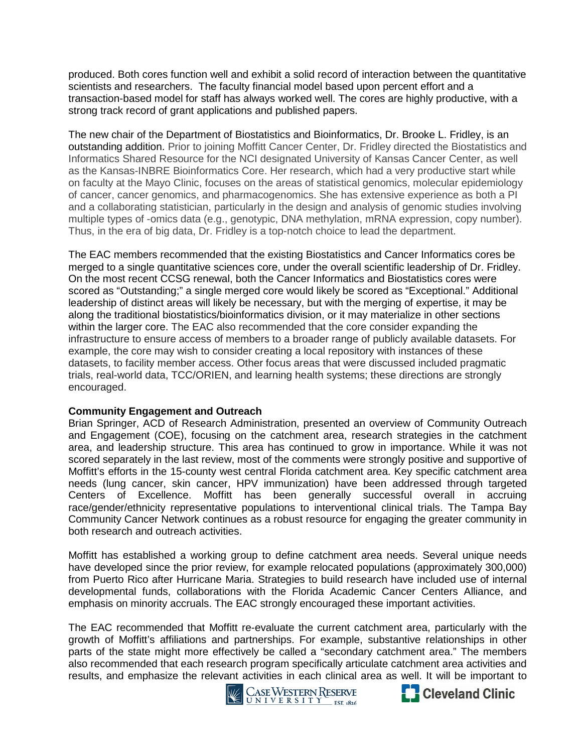produced. Both cores function well and exhibit a solid record of interaction between the quantitative scientists and researchers. The faculty financial model based upon percent effort and a transaction-based model for staff has always worked well. The cores are highly productive, with a strong track record of grant applications and published papers.

The new chair of the Department of Biostatistics and Bioinformatics, Dr. Brooke L. Fridley, is an outstanding addition. Prior to joining Moffitt Cancer Center, Dr. Fridley directed the Biostatistics and Informatics Shared Resource for the NCI designated University of Kansas Cancer Center, as well as the Kansas-INBRE Bioinformatics Core. Her research, which had a very productive start while on faculty at the Mayo Clinic, focuses on the areas of statistical genomics, molecular epidemiology of cancer, cancer genomics, and pharmacogenomics. She has extensive experience as both a PI and a collaborating statistician, particularly in the design and analysis of genomic studies involving multiple types of -omics data (e.g., genotypic, DNA methylation, mRNA expression, copy number). Thus, in the era of big data, Dr. Fridley is a top-notch choice to lead the department.

The EAC members recommended that the existing Biostatistics and Cancer Informatics cores be merged to a single quantitative sciences core, under the overall scientific leadership of Dr. Fridley. On the most recent CCSG renewal, both the Cancer Informatics and Biostatistics cores were scored as "Outstanding;" a single merged core would likely be scored as "Exceptional." Additional leadership of distinct areas will likely be necessary, but with the merging of expertise, it may be along the traditional biostatistics/bioinformatics division, or it may materialize in other sections within the larger core. The EAC also recommended that the core consider expanding the infrastructure to ensure access of members to a broader range of publicly available datasets. For example, the core may wish to consider creating a local repository with instances of these datasets, to facility member access. Other focus areas that were discussed included pragmatic trials, real-world data, TCC/ORIEN, and learning health systems; these directions are strongly encouraged.

## **Community Engagement and Outreach**

Brian Springer, ACD of Research Administration, presented an overview of Community Outreach and Engagement (COE), focusing on the catchment area, research strategies in the catchment area, and leadership structure. This area has continued to grow in importance. While it was not scored separately in the last review, most of the comments were strongly positive and supportive of Moffitt's efforts in the 15-county west central Florida catchment area. Key specific catchment area needs (lung cancer, skin cancer, HPV immunization) have been addressed through targeted Centers of Excellence. Moffitt has been generally successful overall in accruing race/gender/ethnicity representative populations to interventional clinical trials. The Tampa Bay Community Cancer Network continues as a robust resource for engaging the greater community in both research and outreach activities.

Moffitt has established a working group to define catchment area needs. Several unique needs have developed since the prior review, for example relocated populations (approximately 300,000) from Puerto Rico after Hurricane Maria. Strategies to build research have included use of internal developmental funds, collaborations with the Florida Academic Cancer Centers Alliance, and emphasis on minority accruals. The EAC strongly encouraged these important activities.

The EAC recommended that Moffitt re-evaluate the current catchment area, particularly with the growth of Moffitt's affiliations and partnerships. For example, substantive relationships in other parts of the state might more effectively be called a "secondary catchment area." The members also recommended that each research program specifically articulate catchment area activities and results, and emphasize the relevant activities in each clinical area as well. It will be important to



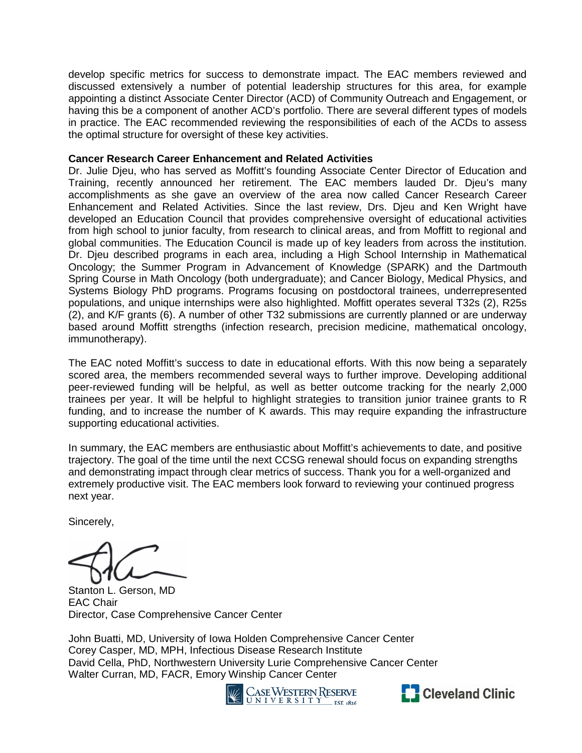develop specific metrics for success to demonstrate impact. The EAC members reviewed and discussed extensively a number of potential leadership structures for this area, for example appointing a distinct Associate Center Director (ACD) of Community Outreach and Engagement, or having this be a component of another ACD's portfolio. There are several different types of models in practice. The EAC recommended reviewing the responsibilities of each of the ACDs to assess the optimal structure for oversight of these key activities.

### **Cancer Research Career Enhancement and Related Activities**

Dr. Julie Djeu, who has served as Moffitt's founding Associate Center Director of Education and Training, recently announced her retirement. The EAC members lauded Dr. Djeu's many accomplishments as she gave an overview of the area now called Cancer Research Career Enhancement and Related Activities. Since the last review, Drs. Djeu and Ken Wright have developed an Education Council that provides comprehensive oversight of educational activities from high school to junior faculty, from research to clinical areas, and from Moffitt to regional and global communities. The Education Council is made up of key leaders from across the institution. Dr. Djeu described programs in each area, including a High School Internship in Mathematical Oncology; the Summer Program in Advancement of Knowledge (SPARK) and the Dartmouth Spring Course in Math Oncology (both undergraduate); and Cancer Biology, Medical Physics, and Systems Biology PhD programs. Programs focusing on postdoctoral trainees, underrepresented populations, and unique internships were also highlighted. Moffitt operates several T32s (2), R25s (2), and K/F grants (6). A number of other T32 submissions are currently planned or are underway based around Moffitt strengths (infection research, precision medicine, mathematical oncology, immunotherapy).

The EAC noted Moffitt's success to date in educational efforts. With this now being a separately scored area, the members recommended several ways to further improve. Developing additional peer-reviewed funding will be helpful, as well as better outcome tracking for the nearly 2,000 trainees per year. It will be helpful to highlight strategies to transition junior trainee grants to R funding, and to increase the number of K awards. This may require expanding the infrastructure supporting educational activities.

In summary, the EAC members are enthusiastic about Moffitt's achievements to date, and positive trajectory. The goal of the time until the next CCSG renewal should focus on expanding strengths and demonstrating impact through clear metrics of success. Thank you for a well-organized and extremely productive visit. The EAC members look forward to reviewing your continued progress next year.

Sincerely,

Stanton L. Gerson, MD EAC Chair Director, Case Comprehensive Cancer Center

John Buatti, MD, University of Iowa Holden Comprehensive Cancer Center Corey Casper, MD, MPH, Infectious Disease Research Institute David Cella, PhD, Northwestern University Lurie Comprehensive Cancer Center Walter Curran, MD, FACR, Emory Winship Cancer Center<br>Version Reserve